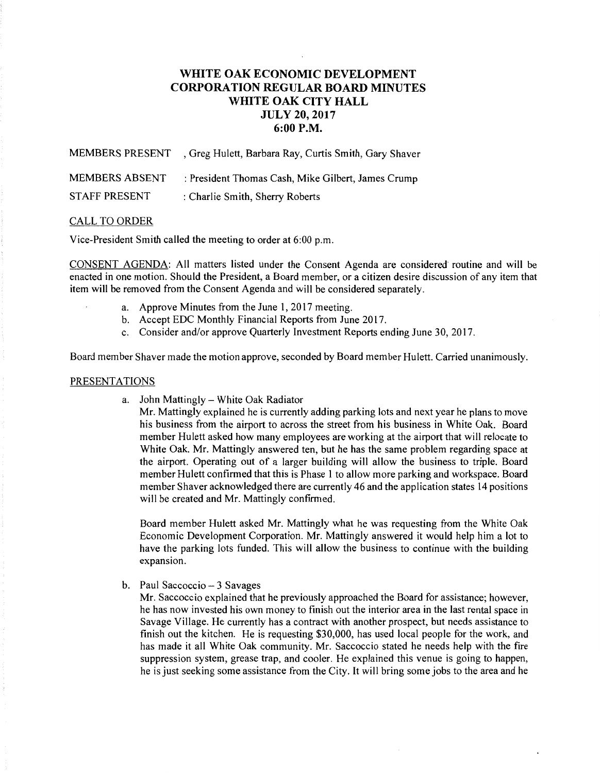# **WHITE OAK ECONOMIC DEVELOPMENT CORPORATION REGULAR BOARD MINUTES WHITE OAK CITY HALL JULY 20, 2017 6:00P.M.**

MEMBERS PRESENT , Greg Hulett, Barbara Ray, Curtis Smith, Gary Shaver MEMBERS ABSENT : President Thomas Cash, Mike Gilbert, James Crump STAFF PRESENT : Charlie Smith, Sherry Roberts

## CALL TO ORDER

Vice-President Smith called the meeting to order at 6:00 p.m.

CONSENT AGENDA: All matters listed under the Consent Agenda are considered routine and will be enacted in one motion. Should the President, a Board member, or a citizen desire discussion of any item that item will be removed from the Consent Agenda and will be considered separately.

- a. Approve Minutes from the June 1, 2017 meeting.
- b. Accept EDC Monthly Financial Reports from June 2017.
- c. Consider and/or approve Quarterly Investment Reports ending June 30, 2017.

Board member Shaver made the motion approve, seconded by Board member Hulett. Carried unanimously.

## PRESENTATIONS

a. John Mattingly- White Oak Radiator

Mr. Mattingly explained he is currently adding parking lots and next year he plans to move his business from the airport to across the street from his business in White Oak. Board member Hulett asked how many employees are working at the airport that will relocate to White Oak. Mr. Mattingly answered ten, but he has the same problem regarding space at the airport. Operating out of a larger building will allow the business to triple. Board member Hulett confirmed that this is Phase 1 to allow more parking and workspace. Board member Shaver acknowledged there are currently 46 and the application states 14 positions will be created and Mr. Mattingly confirmed.

Board member Hulett asked Mr. Mattingly what he was requesting from the White Oak Economic Development Corporation. Mr. Mattingly answered it would help him a lot to have the parking lots funded. This will allow the business to continue with the building expansion.

b. Paul Saccoccio- 3 Savages

Mr. Saccoccio explained that he previously approached the Board for assistance; however, he has now invested his own money to finish out the interior area in the last rental space in Savage Village. He currently has a contract with another prospect, but needs assistance to finish out the kitchen. He is requesting \$30,000, has used local people for the work, and has made it all White Oak community. Mr. Saccoccio stated he needs help with the fire suppression system, grease trap, and cooler. He explained this venue is going to happen, he is just seeking some assistance from the City. It will bring some jobs to the area and he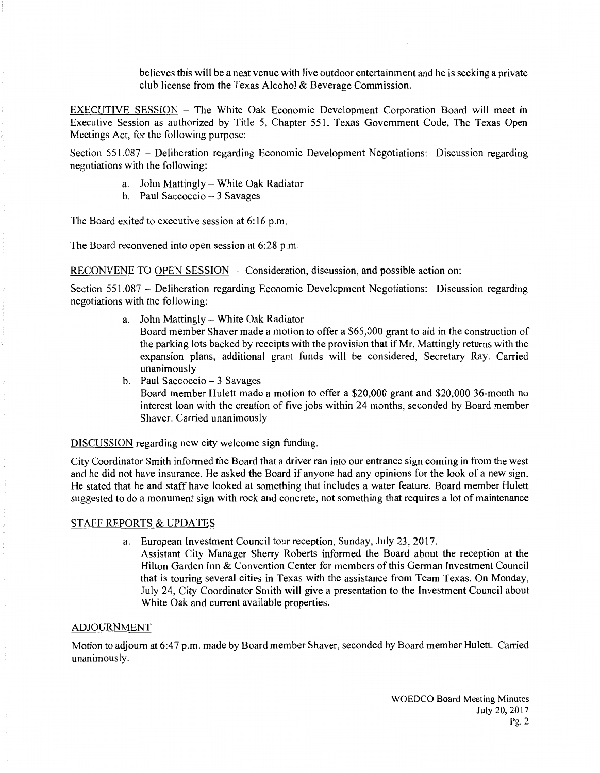believes this will be a neat venue with live outdoor entertainment and he is seeking a private club license from the Texas Alcohol & Beverage Commission.

EXECUTIVE SESSION - The White Oak Economic Development Corporation Board will meet in Executive Session as authorized by Title 5, Chapter 551, Texas Government Code, The Texas Open Meetings Act, for the following purpose:

Section 551.087 - Deliberation regarding Economic Development Negotiations: Discussion regarding negotiations with the following:

- a. John Mattingly- White Oak Radiator
- b. Paul Saccoccio- 3 Savages

The Board exited to executive session at 6:16 p.m.

The Board reconvened into open session at 6:28 p.m.

RECONVENE TO OPEN SESSION - Consideration, discussion, and possible action on:

Section 551.087 - Deliberation regarding Economic Development Negotiations: Discussion regarding negotiations with the following:

a. John Mattingly- White Oak Radiator

Board member Shaver made a motion to offer a \$65,000 grant to aid in the construction of the parking lots backed by receipts with the provision that if Mr. Mattingly returns with the expansion plans, additional grant funds will be considered, Secretary Ray. Carried unanimously

b. Paul Saccoccio - 3 Savages

Board member Hulett made a motion to offer a \$20,000 grant and \$20,000 36-month no interest loan with the creation of five jobs within 24 months, seconded by Board member Shaver. Carried unanimously

## DISCUSSION regarding new city welcome sign funding.

City Coordinator Smith informed the Board that a driver ran into our entrance sign coming in from the west and he did not have insurance. He asked the Board if anyone had any opinions for the look of a new sign. He stated that he and staff have looked at something that includes a water feature. Board member Hulett suggested to do a monument sign with rock and concrete, not something that requires a lot of maintenance

## STAFF REPORTS & UPDATES

a. European Investment Council tour reception, Sunday, July 23, 2017.

Assistant City Manager Sherry Roberts informed the Board about the reception at the Hilton Garden Inn & Convention Center for members of this German Investment Council that is touring several cities in Texas with the assistance from Team Texas. On Monday, July 24, City Coordinator Smith will give a presentation to the Investment Council about White Oak and current available properties.

## ADJOURNMENT

Motion to adjourn at 6:47 p.m. made by Board member Shaver, seconded by Board member Hulett. Carried unanimously.